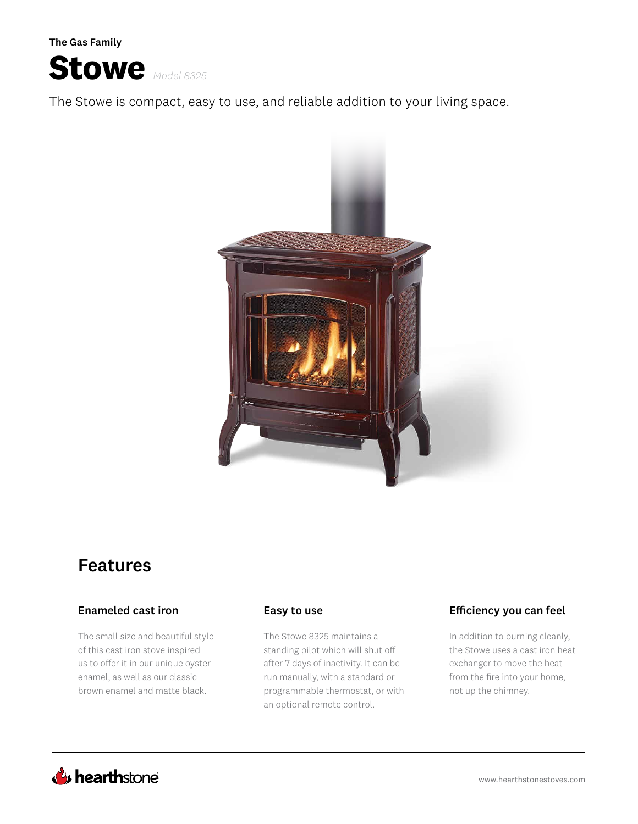The Gas Family



The Stowe is compact, easy to use, and reliable addition to your living space.



# Features

### Enameled cast iron

The small size and beautiful style of this cast iron stove inspired us to offer it in our unique oyster enamel, as well as our classic brown enamel and matte black.

The Stowe 8325 maintains a standing pilot which will shut off after 7 days of inactivity. It can be run manually, with a standard or programmable thermostat, or with an optional remote control.

### Easy to use Efficiency you can feel

In addition to burning cleanly, the Stowe uses a cast iron heat exchanger to move the heat from the fire into your home, not up the chimney.